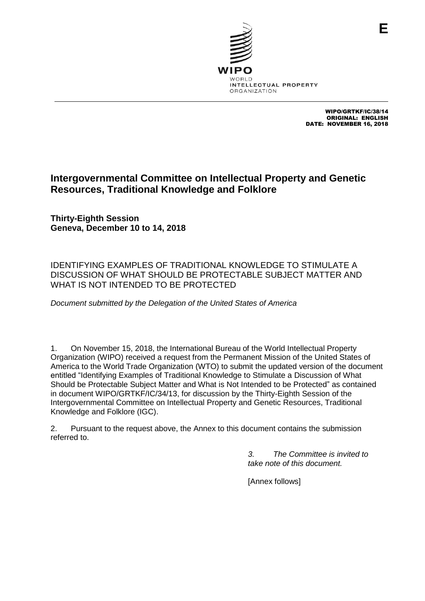

WIPO/GRTKF/IC/38/14 ORIGINAL: ENGLISH DATE: NOVEMBER 16, 2018

## **Intergovernmental Committee on Intellectual Property and Genetic Resources, Traditional Knowledge and Folklore**

**Thirty-Eighth Session Geneva, December 10 to 14, 2018**

IDENTIFYING EXAMPLES OF TRADITIONAL KNOWLEDGE TO STIMULATE A DISCUSSION OF WHAT SHOULD BE PROTECTABLE SUBJECT MATTER AND WHAT IS NOT INTENDED TO BE PROTECTED

*Document submitted by the Delegation of the United States of America*

1. On November 15, 2018, the International Bureau of the World Intellectual Property Organization (WIPO) received a request from the Permanent Mission of the United States of America to the World Trade Organization (WTO) to submit the updated version of the document entitled "Identifying Examples of Traditional Knowledge to Stimulate a Discussion of What Should be Protectable Subject Matter and What is Not Intended to be Protected" as contained in document WIPO/GRTKF/IC/34/13, for discussion by the Thirty-Eighth Session of the Intergovernmental Committee on Intellectual Property and Genetic Resources, Traditional Knowledge and Folklore (IGC).

2. Pursuant to the request above, the Annex to this document contains the submission referred to.

> *3. The Committee is invited to take note of this document.*

[Annex follows]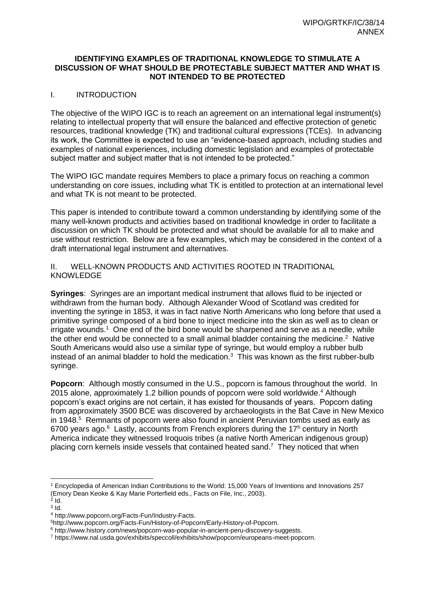## **IDENTIFYING EXAMPLES OF TRADITIONAL KNOWLEDGE TO STIMULATE A DISCUSSION OF WHAT SHOULD BE PROTECTABLE SUBJECT MATTER AND WHAT IS NOT INTENDED TO BE PROTECTED**

## I. INTRODUCTION

The objective of the WIPO IGC is to reach an agreement on an international legal instrument(s) relating to intellectual property that will ensure the balanced and effective protection of genetic resources, traditional knowledge (TK) and traditional cultural expressions (TCEs). In advancing its work, the Committee is expected to use an "evidence-based approach, including studies and examples of national experiences, including domestic legislation and examples of protectable subject matter and subject matter that is not intended to be protected."

The WIPO IGC mandate requires Members to place a primary focus on reaching a common understanding on core issues, including what TK is entitled to protection at an international level and what TK is not meant to be protected.

This paper is intended to contribute toward a common understanding by identifying some of the many well-known products and activities based on traditional knowledge in order to facilitate a discussion on which TK should be protected and what should be available for all to make and use without restriction. Below are a few examples, which may be considered in the context of a draft international legal instrument and alternatives.

II. WELL-KNOWN PRODUCTS AND ACTIVITIES ROOTED IN TRADITIONAL KNOWLEDGE

**Syringes**: Syringes are an important medical instrument that allows fluid to be injected or withdrawn from the human body. Although Alexander Wood of Scotland was credited for inventing the syringe in 1853, it was in fact native North Americans who long before that used a primitive syringe composed of a bird bone to inject medicine into the skin as well as to clean or irrigate wounds.<sup>1</sup> One end of the bird bone would be sharpened and serve as a needle, while the other end would be connected to a small animal bladder containing the medicine.<sup>2</sup> Native South Americans would also use a similar type of syringe, but would employ a rubber bulb instead of an animal bladder to hold the medication.<sup>3</sup> This was known as the first rubber-bulb syringe.

**Popcorn:** Although mostly consumed in the U.S., popcorn is famous throughout the world. In 2015 alone, approximately 1.2 billion pounds of popcorn were sold worldwide.<sup>4</sup> Although popcorn's exact origins are not certain, it has existed for thousands of years. Popcorn dating from approximately 3500 BCE was discovered by archaeologists in the Bat Cave in New Mexico in 1948.<sup>5</sup> Remnants of popcorn were also found in ancient Peruvian tombs used as early as 6700 years ago. $6$  Lastly, accounts from French explorers during the 17<sup>h</sup> century in North America indicate they witnessed Iroquois tribes (a native North American indigenous group) placing corn kernels inside vessels that contained heated sand.<sup>7</sup> They noticed that when

<sup>1</sup> Encyclopedia of American Indian Contributions to the World: 15,000 Years of Inventions and Innovations 257 (Emory Dean Keoke & Kay Marie Porterfield eds., Facts on File, Inc., 2003).<br><sup>2</sup> Id.

 $3$  Id.

<sup>4</sup> [http://www.popcorn.org/Facts-Fun/Industry-Facts.](http://www.popcorn.org/Facts-Fun/Industry-Facts)

<sup>5</sup>[http://www.popcorn.org/Facts-Fun/History-of-Popcorn/Early-History-of-Popcorn.](http://www.popcorn.org/Facts-Fun/History-of-Popcorn/Early-History-of-Popcorn)

<sup>6</sup> [http://www.history.com/news/popcorn-was-popular-in-ancient-peru-discovery-suggests.](http://www.history.com/news/popcorn-was-popular-in-ancient-peru-discovery-suggests)

<sup>7</sup> [https://www.nal.usda.gov/exhibits/speccoll/exhibits/show/popcorn/europeans-meet-popcorn.](https://www.nal.usda.gov/exhibits/speccoll/exhibits/show/popcorn/europeans-meet-popcorn)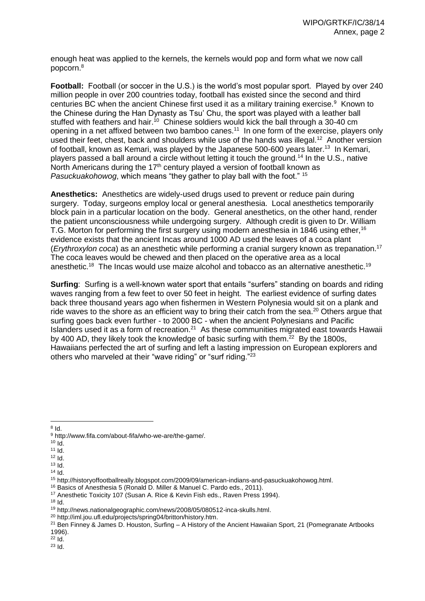enough heat was applied to the kernels, the kernels would pop and form what we now call popcorn.<sup>8</sup>

**Football:** Football (or soccer in the U.S.) is the world's most popular sport. Played by over 240 million people in over 200 countries today, football has existed since the second and third centuries BC when the ancient Chinese first used it as a military training exercise.<sup>9</sup> Known to the Chinese during the Han Dynasty as Tsu' Chu, the sport was played with a leather ball stuffed with feathers and hair.<sup>10</sup> Chinese soldiers would kick the ball through a 30-40 cm opening in a net affixed between two bamboo canes.<sup>11</sup> In one form of the exercise, players only used their feet, chest, back and shoulders while use of the hands was illegal.<sup>12</sup> Another version of football, known as Kemari, was played by the Japanese 500-600 years later.<sup>13</sup> In Kemari, players passed a ball around a circle without letting it touch the ground.<sup>14</sup> In the U.S., native North Americans during the 17<sup>th</sup> century played a version of football known as *Pasuckuakohowog*, which means "they gather to play ball with the foot." <sup>15</sup>

**Anesthetics:** Anesthetics are widely-used drugs used to prevent or reduce pain during surgery. Today, surgeons employ local or general anesthesia. Local anesthetics temporarily block pain in a particular location on the body. General anesthetics, on the other hand, render the patient unconsciousness while undergoing surgery. Although credit is given to Dr. William T.G. Morton for performing the first surgery using modern anesthesia in 1846 using ether,<sup>16</sup> evidence exists that the ancient Incas around 1000 AD used the leaves of a coca plant (*Erythroxylon coca*) as an anesthetic while performing a cranial surgery known as trepanation.<sup>17</sup> The coca leaves would be chewed and then placed on the operative area as a local anesthetic.<sup>18</sup> The Incas would use maize alcohol and tobacco as an alternative anesthetic.<sup>19</sup>

**Surfing**: Surfing is a well-known water sport that entails "surfers" standing on boards and riding waves ranging from a few feet to over 50 feet in height. The earliest evidence of surfing dates back three thousand years ago when fishermen in Western Polynesia would sit on a plank and ride waves to the shore as an efficient way to bring their catch from the sea.<sup>20</sup> Others argue that surfing goes back even further - to 2000 BC - when the ancient Polynesians and Pacific Islanders used it as a form of recreation.<sup>21</sup> As these communities migrated east towards Hawaii by 400 AD, they likely took the knowledge of basic surfing with them.<sup>22</sup> By the 1800s, Hawaiians perfected the art of surfing and left a lasting impression on European explorers and others who marveled at their "wave riding" or "surf riding."<sup>23</sup>

<sup>23</sup> Id.

 $\overline{8}$  [Id.](https://www.nal.usda.gov/exhibits/speccoll/exhibits/show/popcorn/europeans-meet-popcorn)

<sup>9</sup> [http://www.fifa.com/about-fifa/who-we-are/the-game/.](http://www.fifa.com/about-fifa/who-we-are/the-game/)

 $10$  Id.

<sup>11</sup> Id.

 $12$  Id.

 $13$  Id.

 $14$  Id.

<sup>15</sup> [http://historyoffootballreally.blogspot.com/2009/09/american-indians-and-pasuckuakohowog.html.](http://historyoffootballreally.blogspot.com/2009/09/american-indians-and-pasuckuakohowog.html)

<sup>16</sup> Basics of Anesthesia 5 (Ronald D. Miller & Manuel C. Pardo eds., 2011).

<sup>&</sup>lt;sup>17</sup> Anesthetic Toxicity 107 (Susan A. Rice & Kevin Fish eds., Raven Press 1994).

 $18$  Id.

<sup>19</sup> [http://news.nationalgeographic.com/news/2008/05/080512-inca-skulls.html.](http://news.nationalgeographic.com/news/2008/05/080512-inca-skulls.html)

<sup>20</sup> [http://iml.jou.ufl.edu/projects/spring04/britton/history.htm.](http://iml.jou.ufl.edu/projects/spring04/britton/history.htm)

<sup>&</sup>lt;sup>21</sup> Ben Finney & James D. Houston, Surfing – A History of the Ancient Hawaiian Sport, 21 (Pomegranate Artbooks 1996).

 $22$  Id.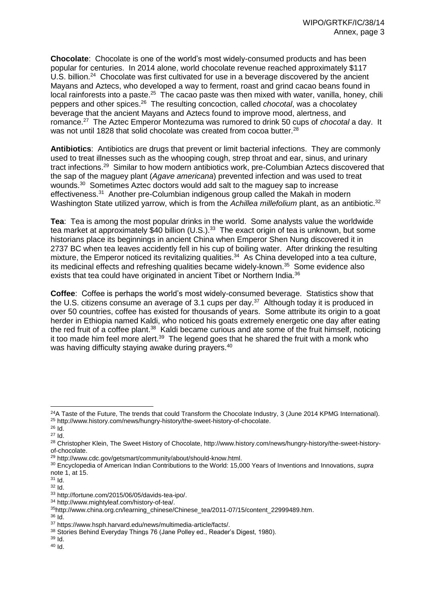**Chocolate**: Chocolate is one of the world's most widely-consumed products and has been popular for centuries. In 2014 alone, world chocolate revenue reached approximately \$117 U.S. billion.<sup>24</sup> Chocolate was first cultivated for use in a beverage discovered by the ancient Mayans and Aztecs, who developed a way to ferment, roast and grind cacao beans found in local rainforests into a paste.<sup>25</sup> The cacao paste was then mixed with water, vanilla, honey, chili peppers and other spices.<sup>26</sup> The resulting concoction, called *chocotal*, was a chocolatey beverage that the ancient Mayans and Aztecs found to improve mood, alertness, and romance.<sup>27</sup> The Aztec Emperor Montezuma was rumored to drink 50 cups of *chocotal* a day. It was not until 1828 that solid chocolate was created from cocoa butter. $^{28}$ 

**Antibiotics**: Antibiotics are drugs that prevent or limit bacterial infections. They are commonly used to treat illnesses such as the whooping cough, strep throat and ear, sinus, and urinary tract infections.<sup>29</sup> Similar to how modern antibiotics work, pre-Columbian Aztecs discovered that the sap of the maguey plant (*Agave americana*) prevented infection and was used to treat wounds.<sup>30</sup> Sometimes Aztec doctors would add salt to the maguey sap to increase effectiveness.<sup>31</sup> Another pre-Columbian indigenous group called the Makah in modern Washington State utilized yarrow, which is from the *Achillea millefolium* plant, as an antibiotic.<sup>32</sup>

**Tea**: Tea is among the most popular drinks in the world. Some analysts value the worldwide tea market at approximately \$40 billion (U.S.).<sup>33</sup> The exact origin of tea is unknown, but some historians place its beginnings in ancient China when Emperor Shen Nung discovered it in 2737 BC when tea leaves accidently fell in his cup of boiling water. After drinking the resulting mixture, the Emperor noticed its revitalizing qualities.<sup>34</sup> As China developed into a tea culture, its medicinal effects and refreshing qualities became widely-known.<sup>35</sup> Some evidence also exists that tea could have originated in ancient Tibet or Northern India.<sup>36</sup>

**Coffee**: Coffee is perhaps the world's most widely-consumed beverage. Statistics show that the U.S. citizens consume an average of 3.1 cups per day.<sup>37</sup> Although today it is produced in over 50 countries, coffee has existed for thousands of years. Some attribute its origin to a goat herder in Ethiopia named Kaldi, who noticed his goats extremely energetic one day after eating the red fruit of a coffee plant.<sup>38</sup> Kaldi became curious and ate some of the fruit himself, noticing it too made him feel more alert.<sup>39</sup> The legend goes that he shared the fruit with a monk who was having difficulty staying awake during prayers.<sup>40</sup>

 $\overline{a}$  $^{24}$ A Taste of the Future, The trends that could Transform the Chocolate Industry, 3 (June 2014 KPMG International). <sup>25</sup> [http://www.history.com/news/hungry-history/the-sweet-history-of-chocolate.](http://www.history.com/news/hungry-history/the-sweet-history-of-chocolate)

<sup>26</sup> Id.

 $27 \overline{1d}$ .

<sup>&</sup>lt;sup>28</sup> Christopher Klein, The Sweet History of Chocolate[, http://www.history.com/news/hungry-history/the-sweet-history](http://www.history.com/news/hungry-history/the-sweet-history-of-chocolate)[of-chocolate.](http://www.history.com/news/hungry-history/the-sweet-history-of-chocolate)

<sup>29</sup> [http://www.cdc.gov/getsmart/community/about/should-know.html.](http://www.cdc.gov/getsmart/community/about/should-know.html)

<sup>30</sup> Encyclopedia of American Indian Contributions to the World: 15,000 Years of Inventions and Innovations, *supra*  note 1, at 15.

<sup>31</sup> Id.

<sup>32</sup> Id.

<sup>33</sup> [http://fortune.com/2015/06/05/davids-tea-ipo/.](http://fortune.com/2015/06/05/davids-tea-ipo/)

<sup>34</sup> [http://www.mightyleaf.com/history-of-tea/.](http://www.mightyleaf.com/history-of-tea/)

<sup>35</sup>[http://www.china.org.cn/learning\\_chinese/Chinese\\_tea/2011-07/15/content\\_22999489.htm.](http://www.china.org.cn/learning_chinese/Chinese_tea/2011-07/15/content_22999489.htm)

<sup>36</sup> Id.

<sup>37</sup> [https://www.hsph.harvard.edu/news/multimedia-article/facts/.](https://www.hsph.harvard.edu/news/multimedia-article/facts/)

<sup>38</sup> Stories Behind Everyday Things 76 (Jane Polley ed., Reader's Digest, 1980).

 $39$  Id.

<sup>40</sup> Id.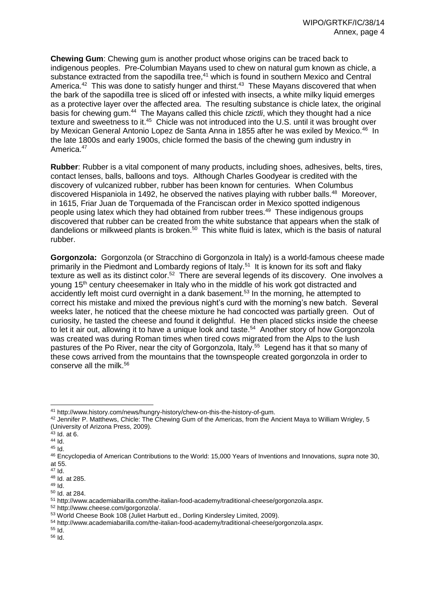**Chewing Gum**: Chewing gum is another product whose origins can be traced back to indigenous peoples. Pre-Columbian Mayans used to chew on natural gum known as chicle, a substance extracted from the sapodilla tree,<sup>41</sup> which is found in southern Mexico and Central America.<sup>42</sup> This was done to satisfy hunger and thirst.<sup>43</sup> These Mayans discovered that when the bark of the sapodilla tree is sliced off or infested with insects, a white milky liquid emerges as a protective layer over the affected area. The resulting substance is chicle latex, the original basis for chewing gum.<sup>44</sup> The Mayans called this chicle *tzictli*, which they thought had a nice texture and sweetness to it.<sup>45</sup> Chicle was not introduced into the U.S. until it was brought over by Mexican General Antonio Lopez de Santa Anna in 1855 after he was exiled by Mexico.<sup>46</sup> In the late 1800s and early 1900s, chicle formed the basis of the chewing gum industry in America.<sup>47</sup>

**Rubber**: Rubber is a vital component of many products, including shoes, adhesives, belts, tires, contact lenses, balls, balloons and toys. Although Charles Goodyear is credited with the discovery of vulcanized rubber, rubber has been known for centuries. When Columbus discovered Hispaniola in 1492, he observed the natives playing with rubber balls.<sup>48</sup> Moreover, in 1615, Friar Juan de Torquemada of the Franciscan order in Mexico spotted indigenous people using latex which they had obtained from rubber trees.<sup>49</sup> These indigenous groups discovered that rubber can be created from the white substance that appears when the stalk of dandelions or milkweed plants is broken.<sup>50</sup> This white fluid is latex, which is the basis of natural rubber.

**Gorgonzola:** Gorgonzola (or Stracchino di Gorgonzola in Italy) is a world-famous cheese made primarily in the Piedmont and Lombardy regions of Italy.<sup>51</sup> It is known for its soft and flaky texture as well as its distinct color.<sup>52</sup> There are several legends of its discovery. One involves a young 15<sup>th</sup> century cheesemaker in Italy who in the middle of his work got distracted and accidently left moist curd overnight in a dank basement.<sup>53</sup> In the morning, he attempted to correct his mistake and mixed the previous night's curd with the morning's new batch. Several weeks later, he noticed that the cheese mixture he had concocted was partially green. Out of curiosity, he tasted the cheese and found it delightful. He then placed sticks inside the cheese to let it air out, allowing it to have a unique look and taste.<sup>54</sup> Another story of how Gorgonzola was created was during Roman times when tired cows migrated from the Alps to the lush pastures of the Po River, near the city of Gorgonzola, Italy.<sup>55</sup> Legend has it that so many of these cows arrived from the mountains that the townspeople created gorgonzola in order to conserve all the milk.<sup>56</sup>

<sup>52</sup> [http://www.cheese.com/gorgonzola/.](http://www.cheese.com/gorgonzola/)

<sup>55</sup> Id.

 <sup>41</sup> [http://www.history.com/news/hungry-history/chew-on-this-the-history-of-gum.](http://www.history.com/news/hungry-history/chew-on-this-the-history-of-gum)

<sup>42</sup> Jennifer P. Matthews, Chicle: The Chewing Gum of the Americas, from the Ancient Maya to William Wrigley, 5 (University of Arizona Press, 2009).

<sup>43</sup> Id. at 6.

 $44$  Id.

 $45$  Id.

<sup>46</sup> Encyclopedia of American Contributions to the World: 15,000 Years of Inventions and Innovations, *supra* note 30, at 55.

<sup>47</sup> Id.

<sup>48</sup> Id. at 285.

 $49$  Id.

<sup>50</sup> Id. at 284.

<sup>51</sup> [http://www.academiabarilla.com/the-italian-food-academy/traditional-cheese/gorgonzola.aspx.](http://www.academiabarilla.com/the-italian-food-academy/traditional-cheese/gorgonzola.aspx)

<sup>53</sup> World Cheese Book 108 (Juliet Harbutt ed., Dorling Kindersley Limited, 2009).

<sup>54</sup> [http://www.academiabarilla.com/the-italian-food-academy/traditional-cheese/gorgonzola.aspx.](http://www.academiabarilla.com/the-italian-food-academy/traditional-cheese/gorgonzola.aspx)

<sup>56</sup> Id.